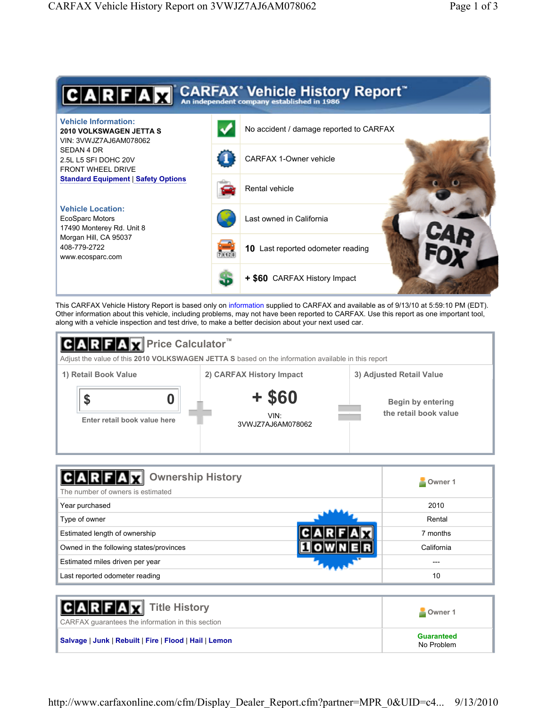

This CARFAX Vehicle History Report is based only on information supplied to CARFAX and available as of 9/13/10 at 5:59:10 PM (EDT). Other information about this vehicle, including problems, may not have been reported to CARFAX. Use this report as one important tool, along with a vehicle inspection and test drive, to make a better decision about your next used car.



| <b>Ownership History</b><br>The number of owners is estimated | Owner 1    |
|---------------------------------------------------------------|------------|
| Year purchased                                                | 2010       |
| Type of owner                                                 | Rental     |
| Estimated length of ownership                                 | 7 months   |
| Owned in the following states/provinces                       | California |
| Estimated miles driven per year                               |            |
| Last reported odometer reading                                | 10         |

| <b>CARFAX</b> Title History<br>CARFAX quarantees the information in this section | Owner 1                         |
|----------------------------------------------------------------------------------|---------------------------------|
| Salvage   Junk   Rebuilt   Fire   Flood   Hail   Lemon                           | <b>Guaranteed</b><br>No Problem |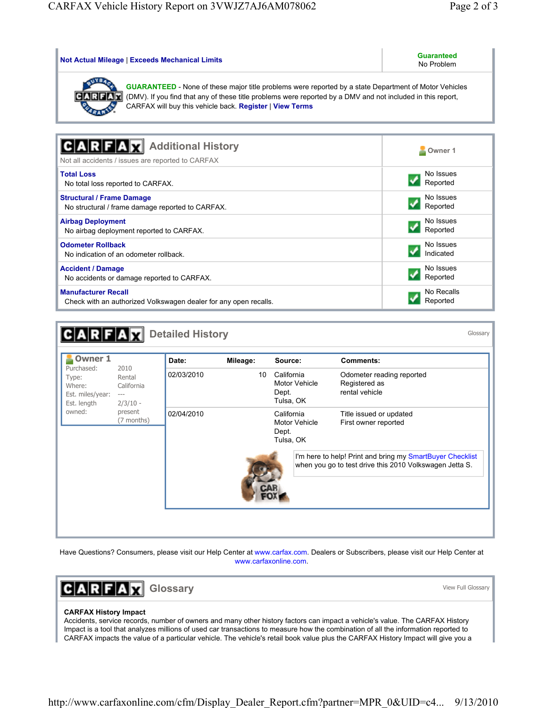| <b>Not Actual Mileage   Exceeds Mechanical Limits</b>                                                                                                                                                                                                                                   | Guaranteed<br>No Problem |  |  |
|-----------------------------------------------------------------------------------------------------------------------------------------------------------------------------------------------------------------------------------------------------------------------------------------|--------------------------|--|--|
| <b>GUARANTEED</b> - None of these major title problems were reported by a state Department of Motor Vehicles<br>(DMV). If you find that any of these title problems were reported by a DMV and not included in this report,<br>CARFAX will buy this vehicle back. Register   View Terms |                          |  |  |
| <b>Additional History</b>                                                                                                                                                                                                                                                               | Owner 1                  |  |  |
| Not all accidents / issues are reported to CARFAX<br><b>Total Loss</b><br>No total loss reported to CARFAX.                                                                                                                                                                             | No Issues<br>Reported    |  |  |
| <b>Structural / Frame Damage</b><br>No structural / frame damage reported to CARFAX.                                                                                                                                                                                                    | No Issues<br>Reported    |  |  |
| <b>Airbag Deployment</b><br>No airbag deployment reported to CARFAX.                                                                                                                                                                                                                    | No Issues<br>Reported    |  |  |
| <b>Odometer Rollback</b><br>No indication of an odometer rollback.                                                                                                                                                                                                                      | No Issues<br>Indicated   |  |  |
| <b>Accident / Damage</b><br>No accidents or damage reported to CARFAX.                                                                                                                                                                                                                  | No Issues<br>Reported    |  |  |
| <b>Manufacturer Recall</b>                                                                                                                                                                                                                                                              | No Recalls               |  |  |

Check with an authorized Volkswagen dealer for any open recalls.

| <b>Owner 1</b>                                                   |                                                     | Date:      | Mileage: | Source:                                           | <b>Comments:</b>                                                                                                     |
|------------------------------------------------------------------|-----------------------------------------------------|------------|----------|---------------------------------------------------|----------------------------------------------------------------------------------------------------------------------|
| Purchased:<br>Type:<br>Where:<br>Est. miles/year:<br>Est. length | 2010<br>Rental<br>California<br>$---$<br>$2/3/10 -$ | 02/03/2010 | 10       | California<br>Motor Vehicle<br>Dept.<br>Tulsa, OK | Odometer reading reported<br>Registered as<br>rental vehicle                                                         |
| owned:                                                           | present<br>(7 months)                               | 02/04/2010 |          | California<br>Motor Vehicle<br>Dept.<br>Tulsa, OK | Title issued or updated<br>First owner reported                                                                      |
|                                                                  |                                                     |            |          |                                                   | I'm here to help! Print and bring my SmartBuyer Checklist<br>when you go to test drive this 2010 Volkswagen Jetta S. |

Have Questions? Consumers, please visit our Help Center at www.carfax.com. Dealers or Subscribers, please visit our Help Center at www.carfaxonline.com.



View Full Glossary

Reported

# **CARFAX History Impact**

Accidents, service records, number of owners and many other history factors can impact a vehicle's value. The CARFAX History Impact is a tool that analyzes millions of used car transactions to measure how the combination of all the information reported to CARFAX impacts the value of a particular vehicle. The vehicle's retail book value plus the CARFAX History Impact will give you a